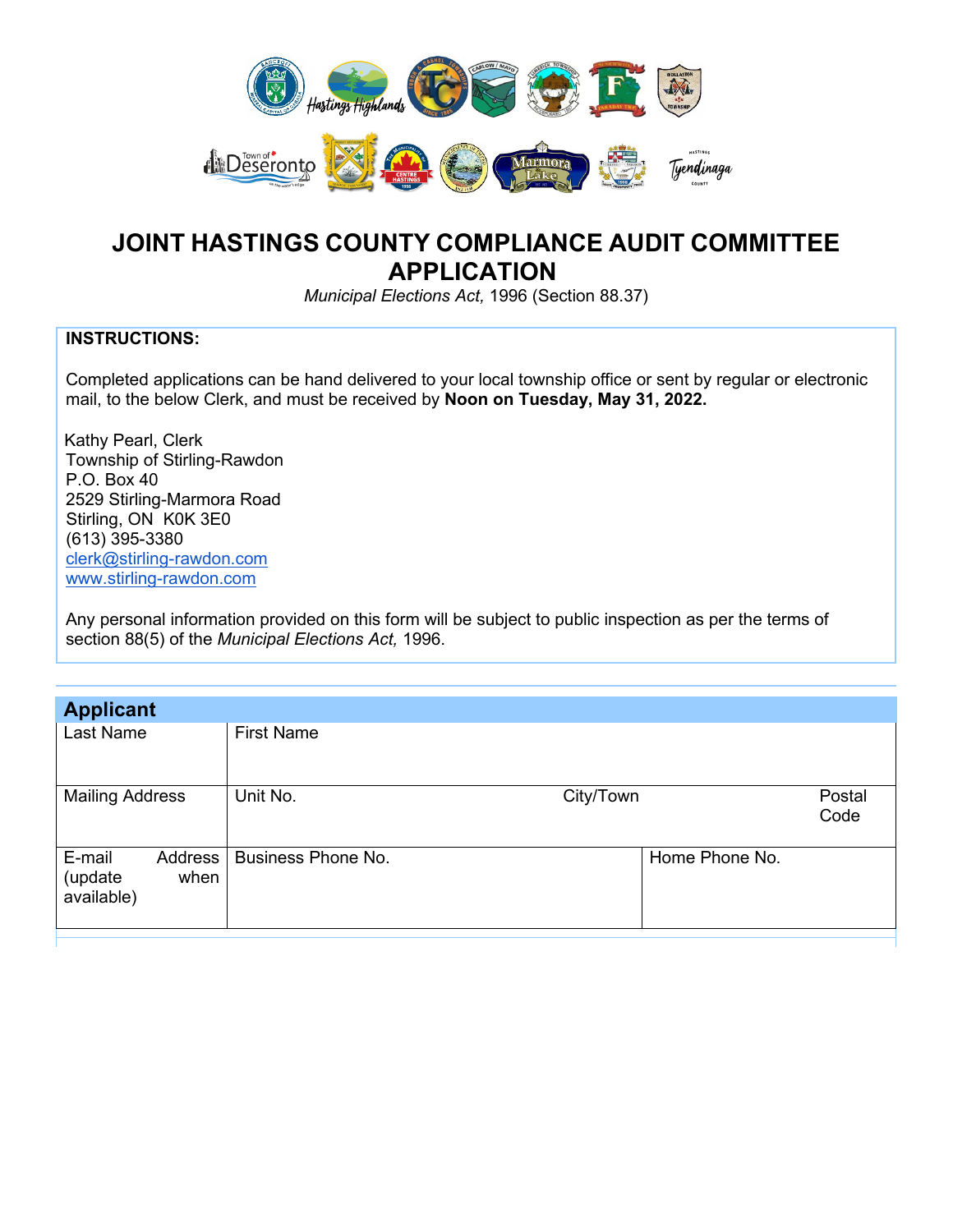

## **JOINT HASTINGS COUNTY COMPLIANCE AUDIT COMMITTEE APPLICATION**

*Municipal Elections Act,* 1996 (Section 88.37)

## **INSTRUCTIONS:**

Completed applications can be hand delivered to your local township office or sent by regular or electronic mail, to the below Clerk, and must be received by **Noon on Tuesday, May 31, 2022.**

 Kathy Pearl, Clerk Township of Stirling-Rawdon P.O. Box 40 2529 Stirling-Marmora Road Stirling, ON K0K 3E0 (613) 395-3380 [clerk@stirling-rawdon.com](mailto:clerk@stirling-rawdon.com) [www.stirling-rawdon.com](http://www.stirling-rawdon.com/)

Any personal information provided on this form will be subject to public inspection as per the terms of section 88(5) of the *Municipal Elections Act,* 1996.

| <b>Applicant</b>                                                |                           |                |                |
|-----------------------------------------------------------------|---------------------------|----------------|----------------|
| Last Name                                                       | <b>First Name</b>         |                |                |
| <b>Mailing Address</b>                                          | Unit No.                  | City/Town      | Postal<br>Code |
| E-mail<br>Address <sup>'</sup><br>(update<br>when<br>available) | <b>Business Phone No.</b> | Home Phone No. |                |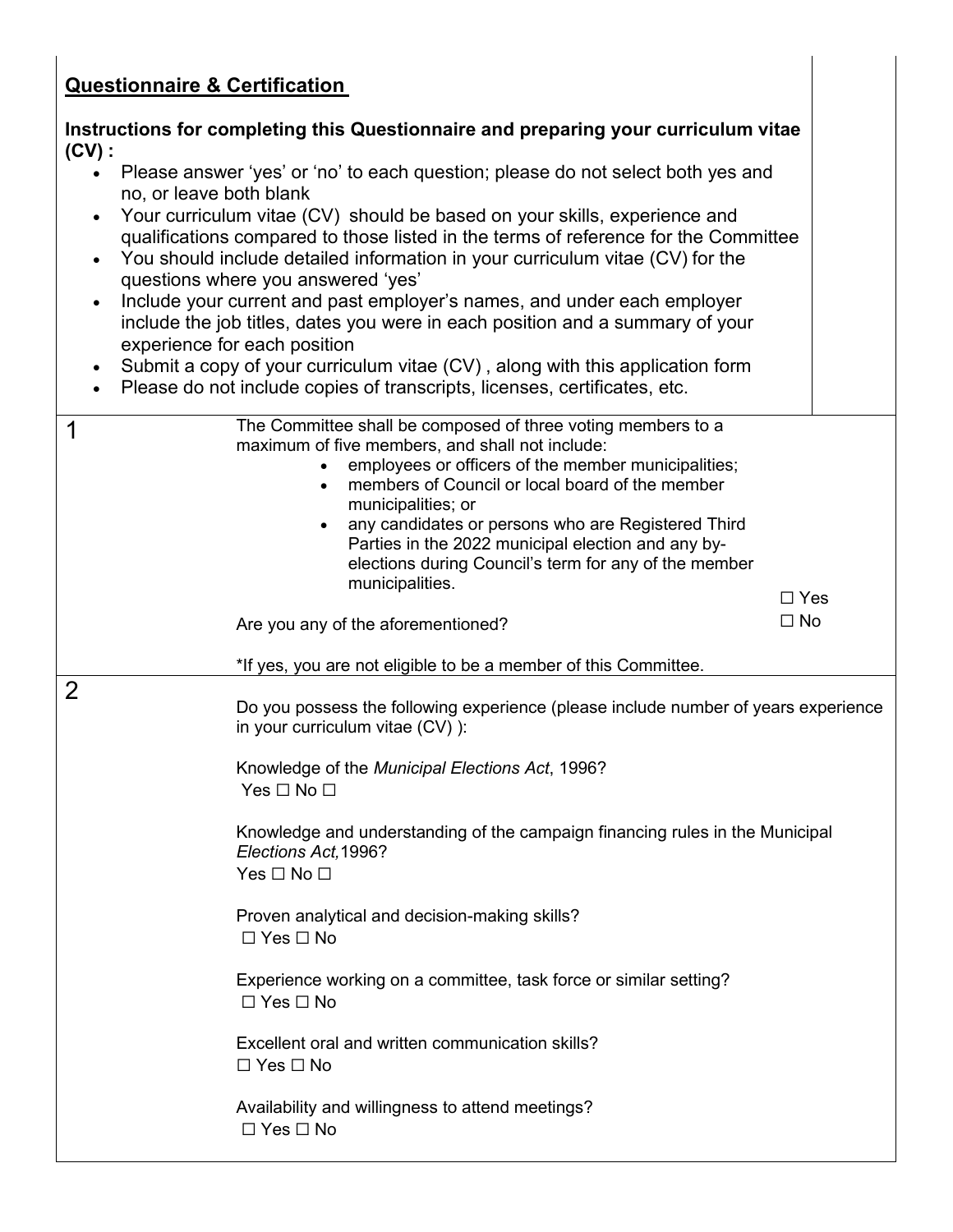## **Questionnaire & Certification**

| <b>Questionnaire &amp; Certification</b>                                                                                                                                                                                                                                                                                                                                                                                                                                                                                                                                                                                                                                                                                                                                                               |                         |
|--------------------------------------------------------------------------------------------------------------------------------------------------------------------------------------------------------------------------------------------------------------------------------------------------------------------------------------------------------------------------------------------------------------------------------------------------------------------------------------------------------------------------------------------------------------------------------------------------------------------------------------------------------------------------------------------------------------------------------------------------------------------------------------------------------|-------------------------|
| Instructions for completing this Questionnaire and preparing your curriculum vitae<br>$(CV)$ :                                                                                                                                                                                                                                                                                                                                                                                                                                                                                                                                                                                                                                                                                                         |                         |
| Please answer 'yes' or 'no' to each question; please do not select both yes and<br>$\bullet$<br>no, or leave both blank<br>Your curriculum vitae (CV) should be based on your skills, experience and<br>qualifications compared to those listed in the terms of reference for the Committee<br>You should include detailed information in your curriculum vitae (CV) for the<br>questions where you answered 'yes'<br>Include your current and past employer's names, and under each employer<br>include the job titles, dates you were in each position and a summary of your<br>experience for each position<br>Submit a copy of your curriculum vitae (CV), along with this application form<br>$\bullet$<br>Please do not include copies of transcripts, licenses, certificates, etc.<br>$\bullet$ |                         |
| The Committee shall be composed of three voting members to a<br>1<br>maximum of five members, and shall not include:<br>employees or officers of the member municipalities;<br>$\bullet$<br>members of Council or local board of the member<br>$\bullet$<br>municipalities; or<br>any candidates or persons who are Registered Third<br>$\bullet$<br>Parties in the 2022 municipal election and any by-<br>elections during Council's term for any of the member<br>municipalities.<br>Are you any of the aforementioned?<br>*If yes, you are not eligible to be a member of this Committee.                                                                                                                                                                                                           | $\Box$ Yes<br>$\Box$ No |
| $\overline{2}$                                                                                                                                                                                                                                                                                                                                                                                                                                                                                                                                                                                                                                                                                                                                                                                         |                         |
| Do you possess the following experience (please include number of years experience<br>in your curriculum vitae (CV) ):<br>Knowledge of the Municipal Elections Act, 1996?<br>Yes $\Box$ No $\Box$                                                                                                                                                                                                                                                                                                                                                                                                                                                                                                                                                                                                      |                         |
| Knowledge and understanding of the campaign financing rules in the Municipal<br>Elections Act, 1996?<br>Yes $\Box$ No $\Box$                                                                                                                                                                                                                                                                                                                                                                                                                                                                                                                                                                                                                                                                           |                         |
| Proven analytical and decision-making skills?<br>$\Box$ Yes $\Box$ No                                                                                                                                                                                                                                                                                                                                                                                                                                                                                                                                                                                                                                                                                                                                  |                         |
| Experience working on a committee, task force or similar setting?<br>$\Box$ Yes $\Box$ No                                                                                                                                                                                                                                                                                                                                                                                                                                                                                                                                                                                                                                                                                                              |                         |
| Excellent oral and written communication skills?<br>$\Box$ Yes $\Box$ No                                                                                                                                                                                                                                                                                                                                                                                                                                                                                                                                                                                                                                                                                                                               |                         |
| Availability and willingness to attend meetings?<br>$\Box$ Yes $\Box$ No                                                                                                                                                                                                                                                                                                                                                                                                                                                                                                                                                                                                                                                                                                                               |                         |